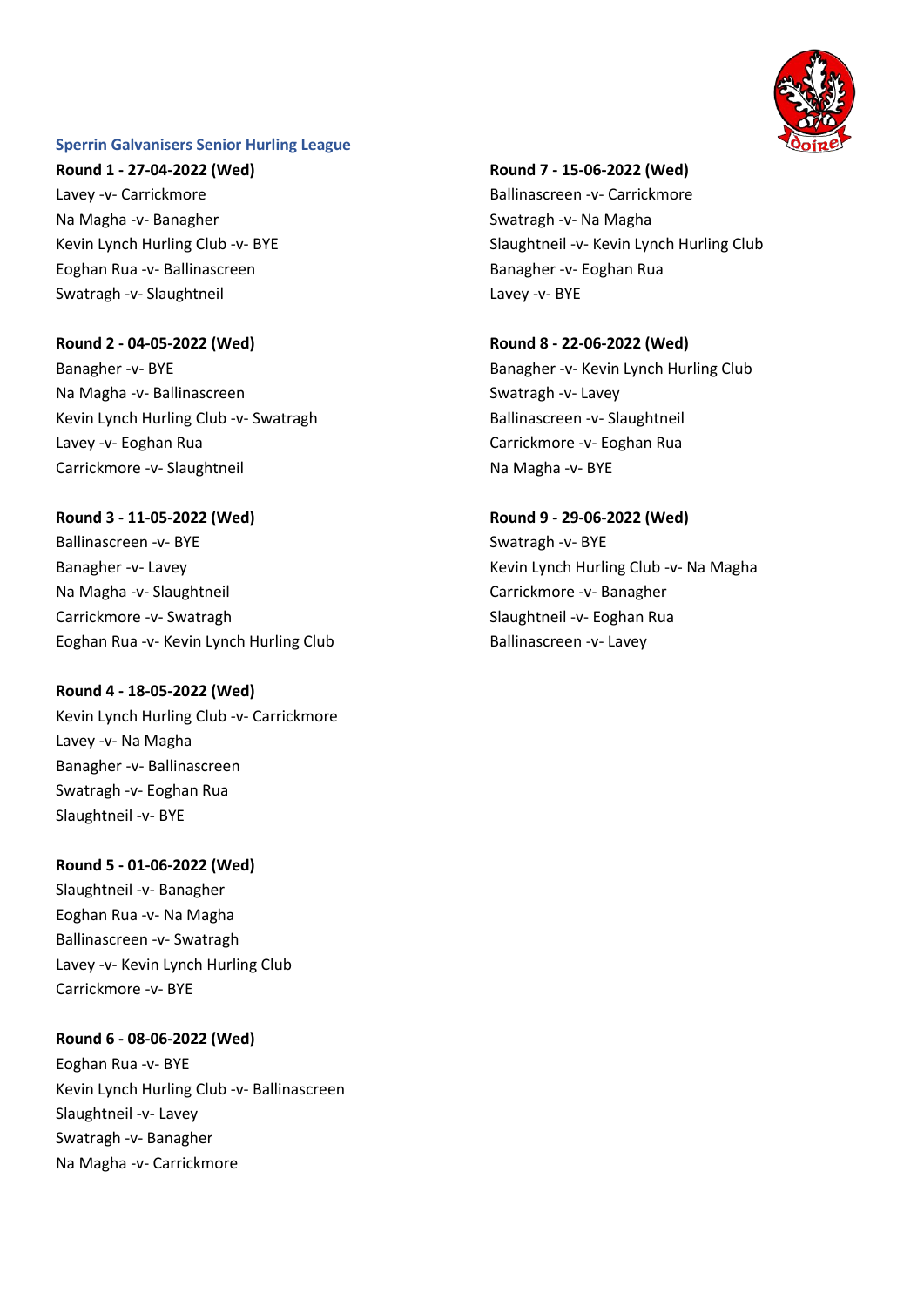

#### **Sperrin Galvanisers Senior Hurling League**

**Round 1 - 27-04-2022 (Wed)** Lavey -v- Carrickmore Na Magha -v- Banagher Kevin Lynch Hurling Club -v- BYE Eoghan Rua -v- Ballinascreen Swatragh -v- Slaughtneil

**Round 2 - 04-05-2022 (Wed)**

Banagher -v- BYE Na Magha -v- Ballinascreen Kevin Lynch Hurling Club -v- Swatragh Lavey -v- Eoghan Rua Carrickmore -v- Slaughtneil

**Round 3 - 11-05-2022 (Wed)** Ballinascreen -v- BYE Banagher -v- Lavey Na Magha -v- Slaughtneil Carrickmore -v- Swatragh Eoghan Rua -v- Kevin Lynch Hurling Club

**Round 4 - 18-05-2022 (Wed)** Kevin Lynch Hurling Club -v- Carrickmore Lavey -v- Na Magha Banagher -v- Ballinascreen Swatragh -v- Eoghan Rua Slaughtneil -v- BYE

**Round 5 - 01-06-2022 (Wed)**

Slaughtneil -v- Banagher Eoghan Rua -v- Na Magha Ballinascreen -v- Swatragh Lavey -v- Kevin Lynch Hurling Club Carrickmore -v- BYE

**Round 6 - 08-06-2022 (Wed)** Eoghan Rua -v- BYE Kevin Lynch Hurling Club -v- Ballinascreen Slaughtneil -v- Lavey Swatragh -v- Banagher Na Magha -v- Carrickmore

**Round 7 - 15-06-2022 (Wed)** Ballinascreen -v- Carrickmore Swatragh -v- Na Magha Slaughtneil -v- Kevin Lynch Hurling Club Banagher -v- Eoghan Rua Lavey -v- BYE

**Round 8 - 22-06-2022 (Wed)** Banagher -v- Kevin Lynch Hurling Club Swatragh -v- Lavey Ballinascreen -v- Slaughtneil Carrickmore -v- Eoghan Rua Na Magha -v- BYE

**Round 9 - 29-06-2022 (Wed)** Swatragh -v- BYE Kevin Lynch Hurling Club -v- Na Magha Carrickmore -v- Banagher Slaughtneil -v- Eoghan Rua Ballinascreen -v- Lavey